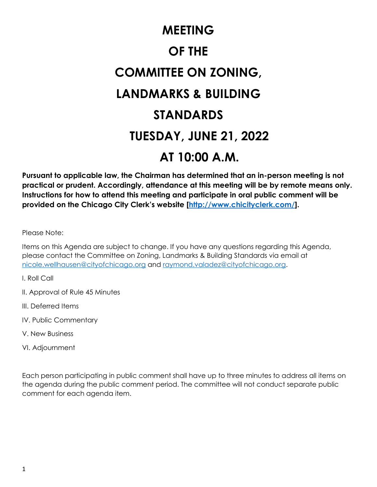# **MEETING OF THE COMMITTEE ON ZONING, LANDMARKS & BUILDING STANDARDS TUESDAY, JUNE 21, 2022 AT 10:00 A.M.**

**Pursuant to applicable law, the Chairman has determined that an in-person meeting is not practical or prudent. Accordingly, attendance at this meeting will be by remote means only. Instructions for how to attend this meeting and participate in oral public comment will be provided on the Chicago City Clerk's website [[http://www.chicityclerk.com/\]](http://www.chicityclerk.com/).**

Please Note:

Items on this Agenda are subject to change. If you have any questions regarding this Agenda, please contact the Committee on Zoning, Landmarks & Building Standards via email at [nicole.wellhausen@cityofchicago.org](mailto:nicole.wellhausen@cityofchicago.org) and [raymond.valadez@cityofchicago.org.](mailto:raymond.valadez@cityofchicago.org)

I. Roll Call

- II. Approval of Rule 45 Minutes
- III. Deferred Items
- IV. Public Commentary
- V. New Business
- VI. Adjournment

Each person participating in public comment shall have up to three minutes to address all items on the agenda during the public comment period. The committee will not conduct separate public comment for each agenda item.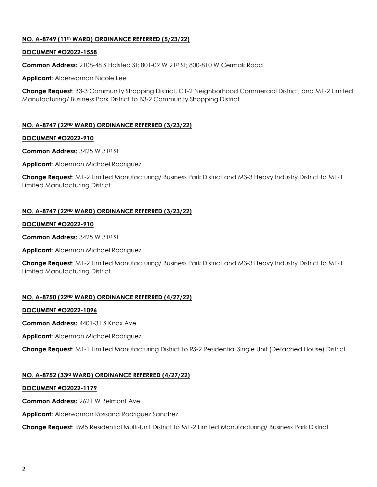## **NO. A-8749 (11th WARD) ORDINANCE REFERRED (5/23/22)**

## **DOCUMENT #O2022-1558**

**Common Address:** 2108-48 S Halsted St; 801-09 W 21st St; 800-810 W Cermak Road

**Applicant:** Alderwoman Nicole Lee

**Change Request**: B3-3 Community Shopping District, C1-2 Neighborhood Commercial District, and M1-2 Limited Manufacturing/ Business Park District to B3-2 Community Shopping District

## **NO. A-8747 (22ND WARD) ORDINANCE REFERRED (3/23/22)**

## **DOCUMENT #O2022-910**

**Common Address:** 3425 W 31st St

**Applicant:** Alderman Michael Rodriguez

**Change Request**: M1-2 Limited Manufacturing/ Business Park District and M3-3 Heavy Industry District to M1-1 Limited Manufacturing District

## **NO. A-8747 (22ND WARD) ORDINANCE REFERRED (3/23/22)**

#### **DOCUMENT #O2022-910**

**Common Address:** 3425 W 31st St

**Applicant:** Alderman Michael Rodriguez

**Change Request**: M1-2 Limited Manufacturing/ Business Park District and M3-3 Heavy Industry District to M1-1 Limited Manufacturing District

## **NO. A-8750 (22ND WARD) ORDINANCE REFERRED (4/27/22)**

## **DOCUMENT #O2022-1096**

**Common Address:** 4401-31 S Knox Ave

**Applicant:** Alderman Michael Rodriguez

**Change Request**: M1-1 Limited Manufacturing District to RS-2 Residential Single Unit (Detached House) District

## **NO. A-8752 (33rd WARD) ORDINANCE REFERRED (4/27/22)**

## **DOCUMENT #O2022-1179**

**Common Address:** 2621 W Belmont Ave

**Applicant:** Alderwoman Rossana Rodriguez Sanchez

**Change Request**: RM5 Residential Multi-Unit District to M1-2 Limited Manufacturing/ Business Park District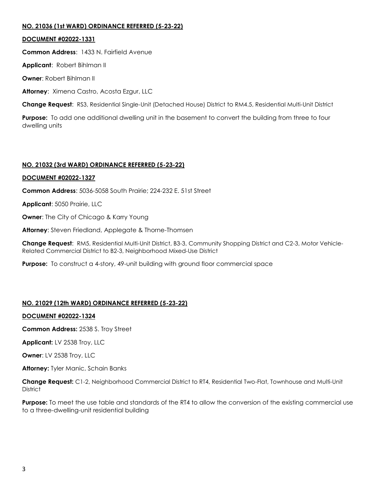## **NO. 21036 (1st WARD) ORDINANCE REFERRED (5-23-22)**

## **DOCUMENT #02022-1331**

**Common Address**: 1433 N. Fairfield Avenue

**Applicant**: Robert Bihlman II

**Owner**: Robert Bihlman II

**Attorney**: Ximena Castro, Acosta Ezgur, LLC

**Change Request**: RS3, Residential Single-Unit (Detached House) District to RM4.5, Residential Multi-Unit District

**Purpose:** To add one additional dwelling unit in the basement to convert the building from three to four dwelling units

# **NO. 21032 (3rd WARD) ORDINANCE REFERRED (5-23-22)**

## **DOCUMENT #02022-1327**

**Common Address**: 5036-5058 South Prairie; 224-232 E. 51st Street

**Applicant**: 5050 Prairie, LLC

**Owner**: The City of Chicago & Karry Young

**Attorney**: Steven Friedland, Applegate & Thorne-Thomsen

**Change Request**: RM5, Residential Multi-Unit District, B3-3, Community Shopping District and C2-3, Motor Vehicle-Related Commercial District to B2-3, Neighborhood Mixed-Use District

**Purpose:** To construct a 4-story, 49-unit building with ground floor commercial space

# **NO. 21029 (12th WARD) ORDINANCE REFERRED (5-23-22)**

## **DOCUMENT #02022-1324**

**Common Address:** 2538 S. Troy Street

**Applicant:** LV 2538 Troy, LLC

**Owner**: LV 2538 Troy, LLC

**Attorney:** Tyler Manic, Schain Banks

**Change Request:** C1-2, Neighborhood Commercial District to RT4, Residential Two-Flat, Townhouse and Multi-Unit **District** 

**Purpose:** To meet the use table and standards of the RT4 to allow the conversion of the existing commercial use to a three-dwelling-unit residential building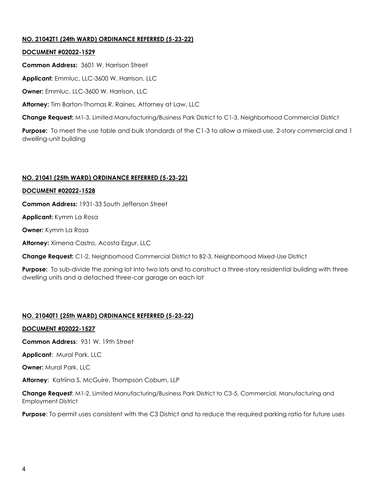## **NO. 21042T1 (24th WARD) ORDINANCE REFERRED (5-23-22)**

## **DOCUMENT #02022-1529**

**Common Address:** 3601 W. Harrison Street

**Applicant:** Emmluc, LLC-3600 W. Harrison, LLC

**Owner:** Emmluc, LLC-3600 W. Harrison, LLC

**Attorney:** Tim Barton-Thomas R. Raines, Attorney at Law, LLC

**Change Request:** M1-3, Limited Manufacturing/Business Park District to C1-3, Neighborhood Commercial District

**Purpose:** To meet the use table and bulk standards of the C1-3 to allow a mixed-use, 2-story commercial and 1 dwelling-unit building

## **NO. 21041 (25th WARD) ORDINANCE REFERRED (5-23-22)**

## **DOCUMENT #02022-1528**

**Common Address:** 1931-33 South Jefferson Street

**Applicant:** Kymm La Rosa

**Owner:** Kymm La Rosa

**Attorney:** Ximena Castro, Acosta Ezgur, LLC

**Change Request:** C1-2, Neighborhood Commercial District to B2-3, Neighborhood Mixed-Use District

**Purpose:** To sub-divide the zoning lot into two lots and to construct a three-story residential building with three dwelling units and a detached three-car garage on each lot

## **NO. 21040T1 (25th WARD) ORDINANCE REFERRED (5-23-22)**

## **DOCUMENT #02022-1527**

**Common Address**: 931 W. 19th Street

**Applicant**: Mural Park, LLC

**Owner:** Mural Park, LLC

**Attorney**: Katriina S. McGuire, Thompson Coburn, LLP

**Change Request**: M1-2, Limited Manufacturing/Business Park District to C3-5, Commercial, Manufacturing and Employment District

**Purpose**: To permit uses consistent with the C3 District and to reduce the required parking ratio for future uses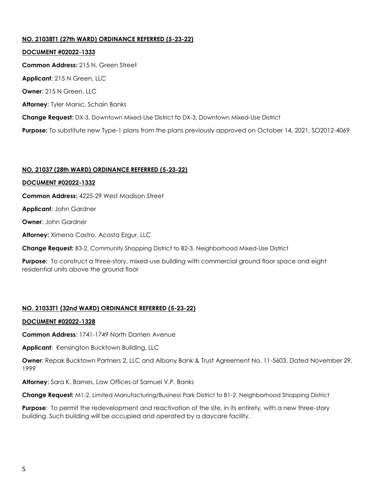## **NO. 21038T1 (27th WARD) ORDINANCE REFERRED (5-23-22)**

**DOCUMENT #02022-1333 Common Address:** 215 N. Green Street **Applicant**: 215 N Green, LLC **Owner**: 215 N Green, LLC **Attorney**: Tyler Manic, Schain Banks **Change Request**: DX-3, Downtown Mixed-Use District to DX-3, Downtown Mixed-Use District **Purpose:** To substitute new Type-1 plans from the plans previously approved on October 14, 2021, SO2012-4069

## **NO. 21037 (28th WARD) ORDINANCE REFERRED (5-23-22)**

#### **DOCUMENT #02022-1332**

**Common Address:** 4225-29 West Madison Street

**Applicant**: John Gardner

**Owner**: John Gardner

**Attorney:** Ximena Castro, Acosta Ezgur, LLC

**Change Request:** B3-2, Community Shopping District to B2-3, Neighborhood Mixed-Use District

**Purpose**: To construct a three-story, mixed-use building with commercial ground floor space and eight residential units above the ground floor

## **NO. 21033T1 (32nd WARD) ORDINANCE REFERRED (5-23-22)**

#### **DOCUMENT #02022-1328**

**Common Address**: 1741-1749 North Damen Avenue

**Applicant**: Kensington Bucktown Building, LLC

**Owner**: Repak Bucktown Partners 2, LLC and Albany Bank & Trust Agreement No. 11-5603, Dated November 29, 1999

**Attorney**: Sara K. Barnes, Law Offices of Samuel V.P. Banks

**Change Request:** M1-2, Limited Manufacturing/Business Park District to B1-2, Neighborhood Shopping District

**Purpose**: To permit the redevelopment and reactivation of the site, in its entirety, with a new three-story building. Such building will be occupied and operated by a daycare facility.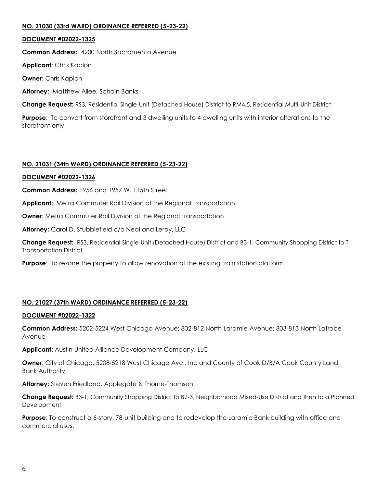## **NO. 21030 (33rd WARD) ORDINANCE REFERRED (5-23-22)**

#### **DOCUMENT #02022-1325**

**Common Address:** 4200 North Sacramento Avenue

**Applicant**: Chris Kaplon

**Owner**: Chris Kaplon

**Attorney:** Matthew Allee, Schain Banks

**Change Request:** RS3, Residential Single-Unit (Detached House) District to RM4.5, Residential Multi-Unit District

**Purpose**: To convert from storefront and 3 dwelling units to 4 dwelling units with interior alterations to the storefront only

## **NO. 21031 (34th WARD) ORDINANCE REFERRED (5-23-22)**

## **DOCUMENT #02022-1326**

**Common Address:** 1956 and 1957 W. 115th Street

**Applicant**: Metra Commuter Rail Division of the Regional Transportation

**Owner:** Metra Commuter Rail Division of the Regional Transportation

**Attorney:** Carol D. Stubblefield c/o Neal and Leroy, LLC

**Change Request:** RS3, Residential Single-Unit (Detached House) District and B3-1, Community Shopping District to T, Transportation District

**Purpose**: To rezone the property to allow renovation of the existing train station platform

## **NO. 21027 (37th WARD) ORDINANCE REFERRED (5-23-22)**

#### **DOCUMENT #02022-1322**

**Common Address:** 5202-5224 West Chicago Avenue; 802-812 North Laramie Avenue; 803-813 North Latrobe Avenue

**Applicant**: Austin United Alliance Development Company, LLC

**Owner**: City of Chicago, 5208-5218 West Chicago Ave., Inc and County of Cook D/B/A Cook County Land Bank Authority

**Attorney:** Steven Friedland, Applegate & Thorne-Thomsen

**Change Request:** B3-1, Community Shopping District to B2-3, Neighborhood Mixed-Use District and then to a Planned Development

**Purpose**: To construct a 6-story, 78-unit building and to redevelop the Laramie Bank building with office and commercial uses.